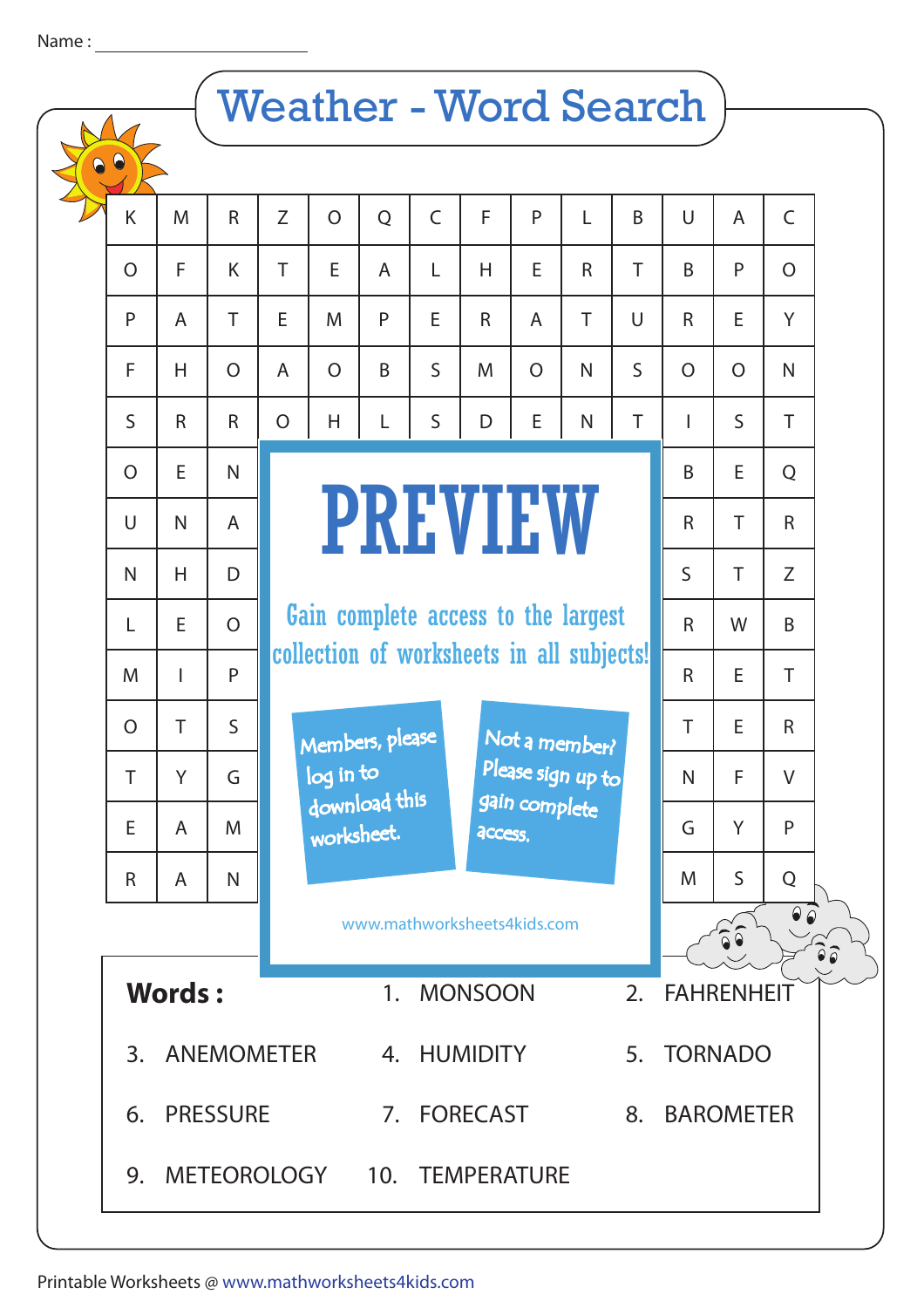## Name :

## Weather - Word Search